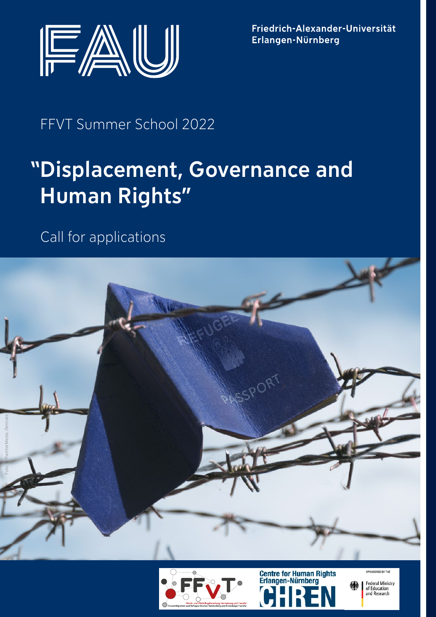

Friedrich-Alexander-Universität Erlangen-Nürnberg

# FFVT Summer School 2022

# Displacement, Governance and "Human Rights"

Call for applications







PONSORED BY TH

**Federal Ministry** of Education<br>and Research